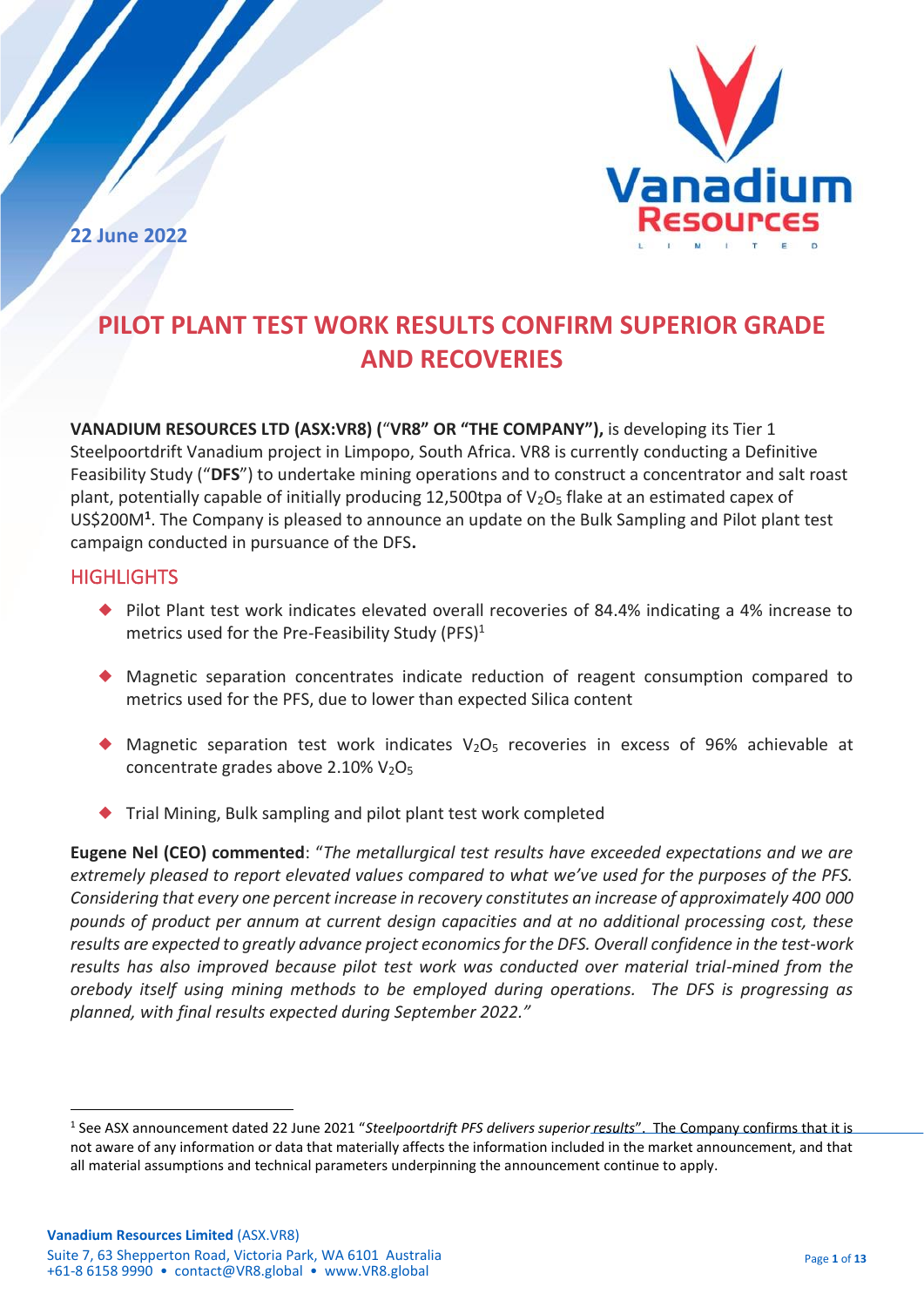**22 June 2022**



# **PILOT PLANT TEST WORK RESULTS CONFIRM SUPERIOR GRADE AND RECOVERIES**

**VANADIUM RESOURCES LTD (ASX:VR8) (**"**VR8" OR "THE COMPANY"),** is developing its Tier 1 Steelpoortdrift Vanadium project in Limpopo, South Africa. VR8 is currently conducting a Definitive Feasibility Study ("**DFS**") to undertake mining operations and to construct a concentrator and salt roast plant, potentially capable of initially producing 12,500tpa of  $V<sub>2</sub>O<sub>5</sub>$  flake at an estimated capex of US\$200M**<sup>1</sup>** . The Company is pleased to announce an update on the Bulk Sampling and Pilot plant test campaign conducted in pursuance of the DFS**.**

# **HIGHLIGHTS**

- ◆ Pilot Plant test work indicates elevated overall recoveries of 84.4% indicating a 4% increase to metrics used for the Pre-Feasibility Study (PFS)<sup>1</sup>
- ◆ Magnetic separation concentrates indicate reduction of reagent consumption compared to metrics used for the PFS, due to lower than expected Silica content
- $\blacklozenge$  Magnetic separation test work indicates V<sub>2</sub>O<sub>5</sub> recoveries in excess of 96% achievable at concentrate grades above  $2.10\%$   $V_2O_5$
- ◆ Trial Mining, Bulk sampling and pilot plant test work completed

**Eugene Nel (CEO) commented**: "*The metallurgical test results have exceeded expectations and we are extremely pleased to report elevated values compared to what we've used for the purposes of the PFS. Considering that every one percent increase in recovery constitutes an increase of approximately 400 000 pounds of product per annum at current design capacities and at no additional processing cost, these results are expected to greatly advance project economics for the DFS. Overall confidence in the test-work results has also improved because pilot test work was conducted over material trial-mined from the orebody itself using mining methods to be employed during operations. The DFS is progressing as planned, with final results expected during September 2022."*

<sup>1</sup> See ASX announcement dated 22 June 2021 "*Steelpoortdrift PFS delivers superior results*". The Company confirms that it is not aware of any information or data that materially affects the information included in the market announcement, and that all material assumptions and technical parameters underpinning the announcement continue to apply.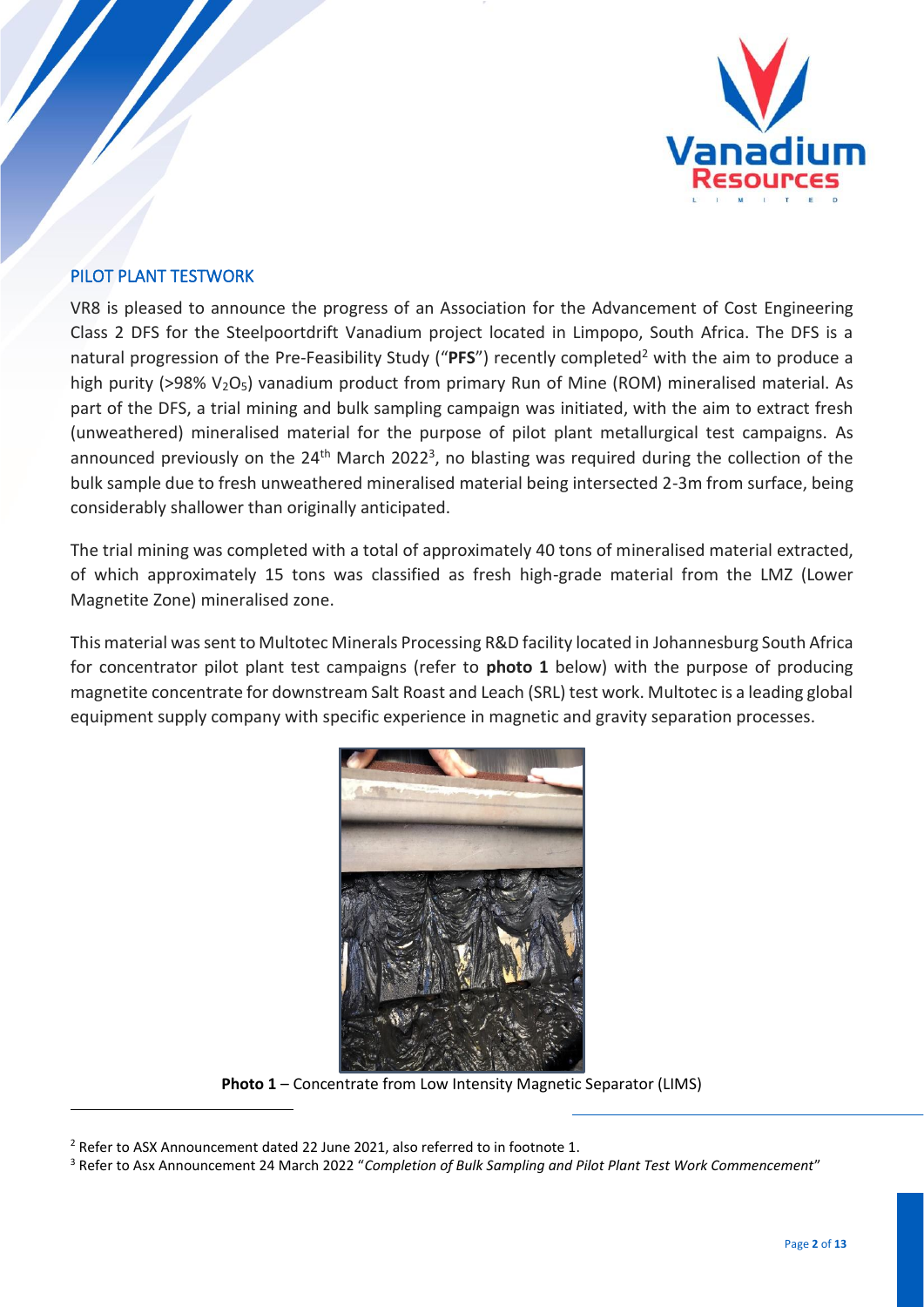

## PILOT PLANT TESTWORK

VR8 is pleased to announce the progress of an Association for the Advancement of Cost Engineering Class 2 DFS for the Steelpoortdrift Vanadium project located in Limpopo, South Africa. The DFS is a natural progression of the Pre-Feasibility Study ("PFS") recently completed<sup>2</sup> with the aim to produce a high purity (>98%  $V<sub>2</sub>O<sub>5</sub>$ ) vanadium product from primary Run of Mine (ROM) mineralised material. As part of the DFS, a trial mining and bulk sampling campaign was initiated, with the aim to extract fresh (unweathered) mineralised material for the purpose of pilot plant metallurgical test campaigns. As announced previously on the  $24<sup>th</sup>$  March 2022<sup>3</sup>, no blasting was required during the collection of the bulk sample due to fresh unweathered mineralised material being intersected 2-3m from surface, being considerably shallower than originally anticipated.

The trial mining was completed with a total of approximately 40 tons of mineralised material extracted, of which approximately 15 tons was classified as fresh high-grade material from the LMZ (Lower Magnetite Zone) mineralised zone.

This material was sent to Multotec Minerals Processing R&D facility located in Johannesburg South Africa for concentrator pilot plant test campaigns (refer to **photo 1** below) with the purpose of producing magnetite concentrate for downstream Salt Roast and Leach (SRL) test work. Multotec is a leading global equipment supply company with specific experience in magnetic and gravity separation processes.



**Photo 1** – Concentrate from Low Intensity Magnetic Separator (LIMS)

 $2$  Refer to ASX Announcement dated 22 June 2021, also referred to in footnote 1.

<sup>3</sup> Refer to Asx Announcement 24 March 2022 "*Completion of Bulk Sampling and Pilot Plant Test Work Commencement*"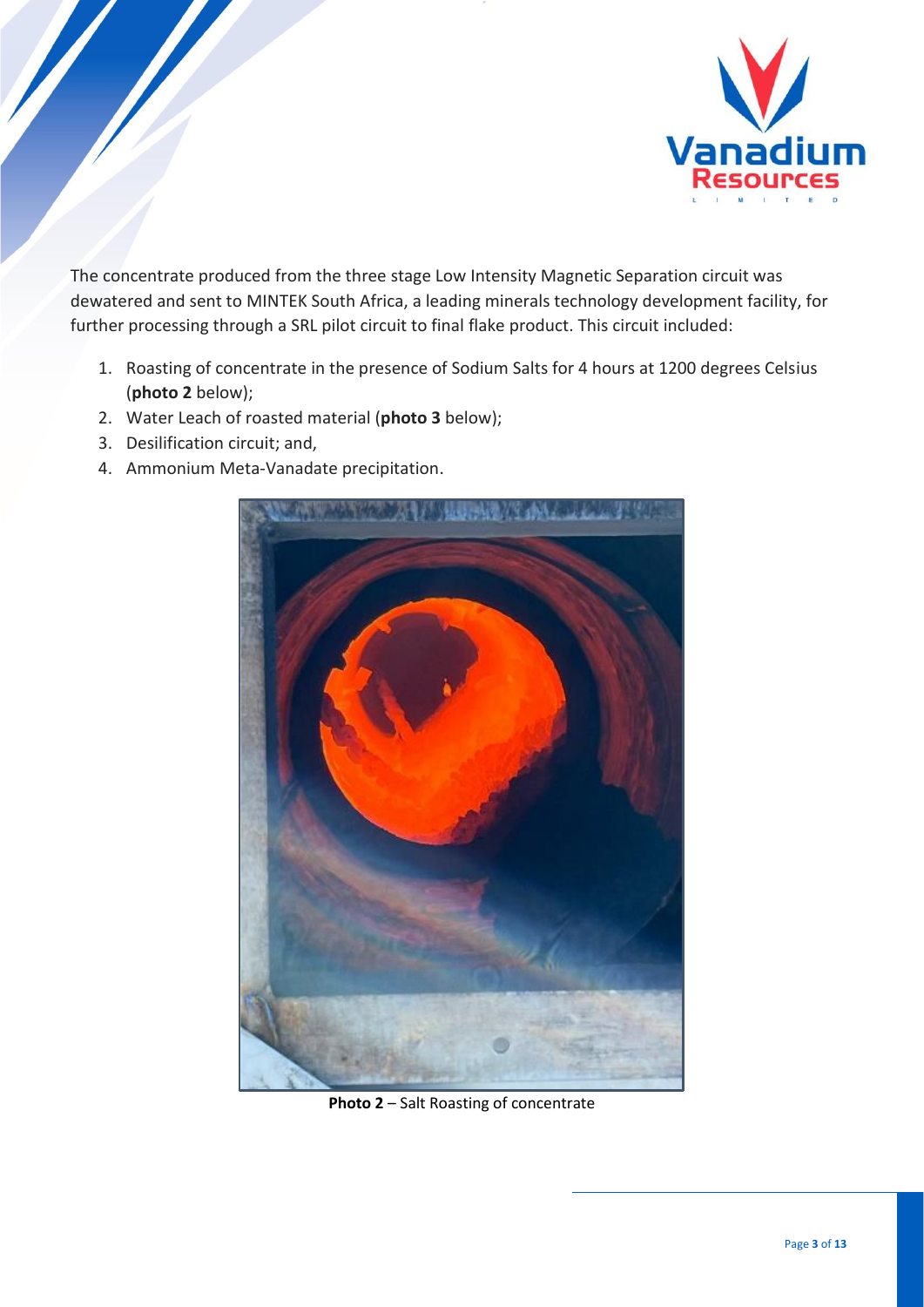

The concentrate produced from the three stage Low Intensity Magnetic Separation circuit was dewatered and sent to MINTEK South Africa, a leading minerals technology development facility, for further processing through a SRL pilot circuit to final flake product. This circuit included:

- 1. Roasting of concentrate in the presence of Sodium Salts for 4 hours at 1200 degrees Celsius (**photo 2** below);
- 2. Water Leach of roasted material (**photo 3** below);
- 3. Desilification circuit; and,
- 4. Ammonium Meta-Vanadate precipitation.



**Photo 2** – Salt Roasting of concentrate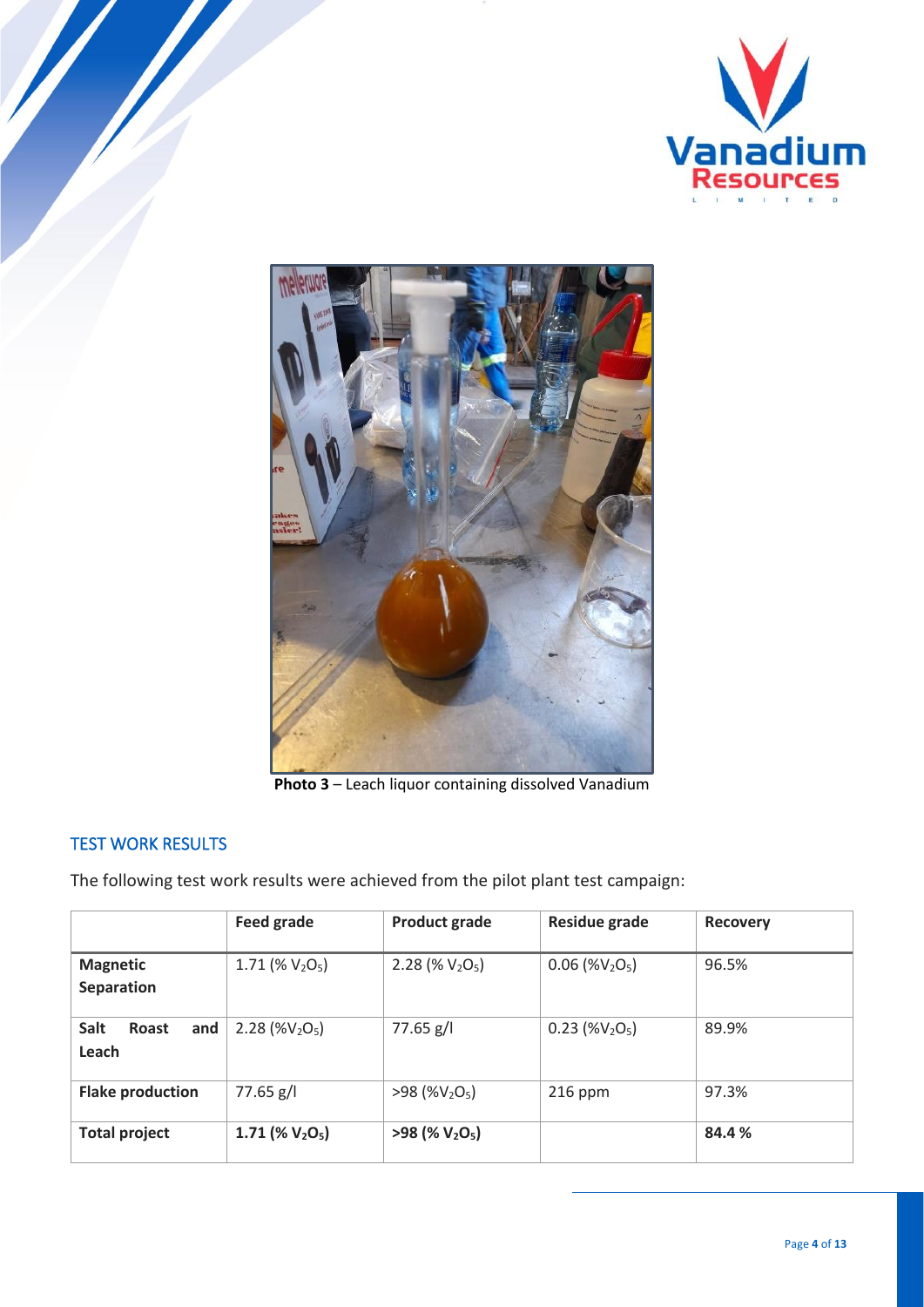



**Photo 3** – Leach liquor containing dissolved Vanadium

# TEST WORK RESULTS

The following test work results were achieved from the pilot plant test campaign:

|                               | Feed grade         | <b>Product grade</b> | <b>Residue grade</b> | <b>Recovery</b> |
|-------------------------------|--------------------|----------------------|----------------------|-----------------|
| <b>Magnetic</b><br>Separation | 1.71 (% $V_2O_5$ ) | 2.28 (% $V_2O_5$ )   | $0.06$ (% $V_2O_5$ ) | 96.5%           |
| Salt<br>Roast<br>and<br>Leach | 2.28 (% $V2O5$ )   | $77.65$ g/l          | $0.23$ (% $V2O5$ )   | 89.9%           |
| <b>Flake production</b>       | 77.65 g/l          | $>98$ (% $V_2O_5$ )  | $216$ ppm            | 97.3%           |
| <b>Total project</b>          | 1.71 (% $V_2O_5$ ) | $>98$ (% $V_2O_5$ )  |                      | 84.4%           |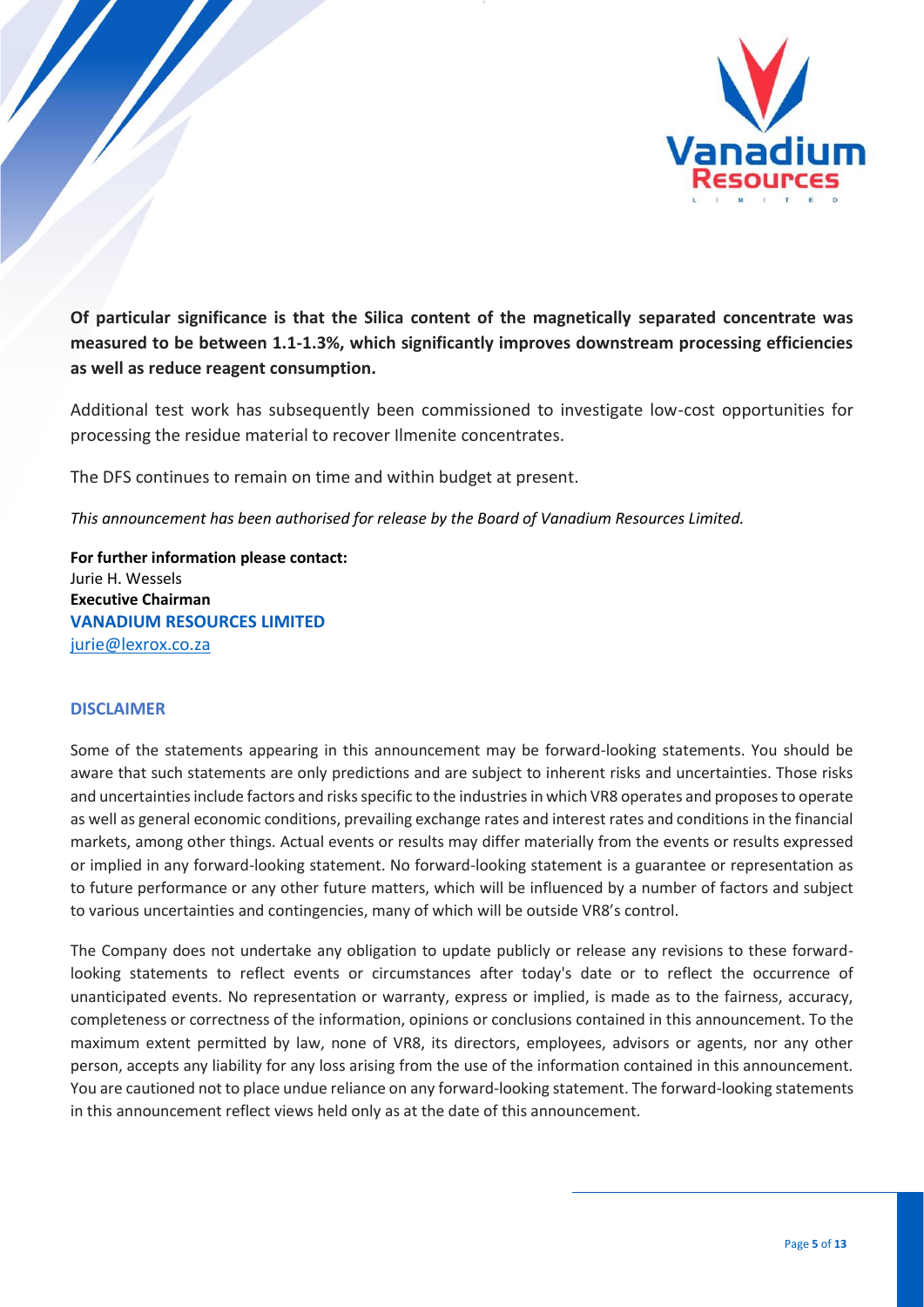

**Of particular significance is that the Silica content of the magnetically separated concentrate was measured to be between 1.1-1.3%, which significantly improves downstream processing efficiencies as well as reduce reagent consumption.** 

Additional test work has subsequently been commissioned to investigate low-cost opportunities for processing the residue material to recover Ilmenite concentrates.

The DFS continues to remain on time and within budget at present.

*This announcement has been authorised for release by the Board of Vanadium Resources Limited.*

**For further information please contact:** Jurie H. Wessels **Executive Chairman VANADIUM RESOURCES LIMITED**  [jurie@lexrox.co.za](mailto:contact@VR8.global) 

#### **DISCLAIMER**

Some of the statements appearing in this announcement may be forward-looking statements. You should be aware that such statements are only predictions and are subject to inherent risks and uncertainties. Those risks and uncertainties include factors and risks specific to the industries in which VR8 operates and proposes to operate as well as general economic conditions, prevailing exchange rates and interest rates and conditions in the financial markets, among other things. Actual events or results may differ materially from the events or results expressed or implied in any forward-looking statement. No forward-looking statement is a guarantee or representation as to future performance or any other future matters, which will be influenced by a number of factors and subject to various uncertainties and contingencies, many of which will be outside VR8's control.

The Company does not undertake any obligation to update publicly or release any revisions to these forwardlooking statements to reflect events or circumstances after today's date or to reflect the occurrence of unanticipated events. No representation or warranty, express or implied, is made as to the fairness, accuracy, completeness or correctness of the information, opinions or conclusions contained in this announcement. To the maximum extent permitted by law, none of VR8, its directors, employees, advisors or agents, nor any other person, accepts any liability for any loss arising from the use of the information contained in this announcement. You are cautioned not to place undue reliance on any forward-looking statement. The forward-looking statements in this announcement reflect views held only as at the date of this announcement.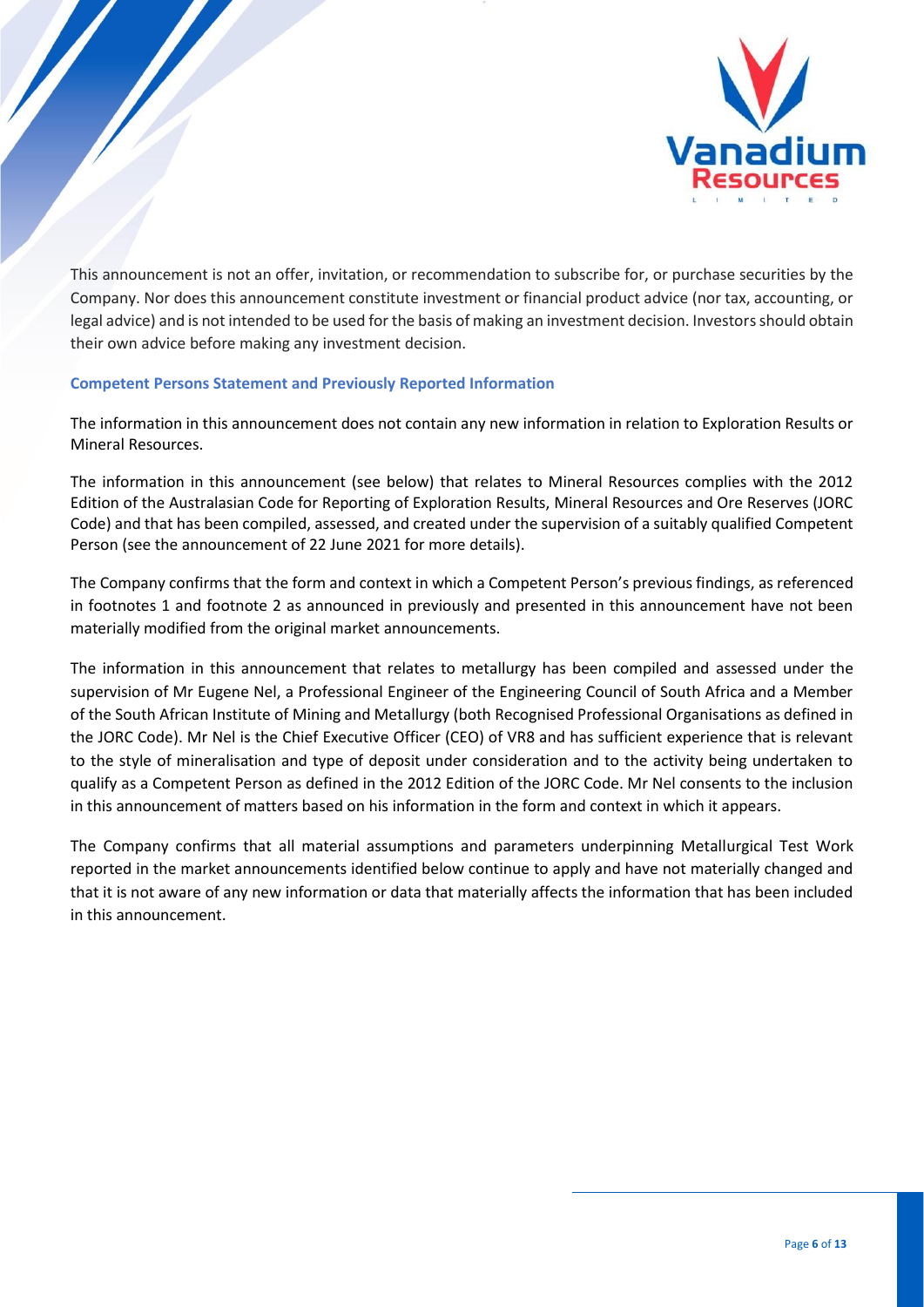

This announcement is not an offer, invitation, or recommendation to subscribe for, or purchase securities by the Company. Nor does this announcement constitute investment or financial product advice (nor tax, accounting, or legal advice) and is not intended to be used for the basis of making an investment decision. Investors should obtain their own advice before making any investment decision.

#### **Competent Persons Statement and Previously Reported Information**

The information in this announcement does not contain any new information in relation to Exploration Results or Mineral Resources.

The information in this announcement (see below) that relates to Mineral Resources complies with the 2012 Edition of the Australasian Code for Reporting of Exploration Results, Mineral Resources and Ore Reserves (JORC Code) and that has been compiled, assessed, and created under the supervision of a suitably qualified Competent Person (see the announcement of 22 June 2021 for more details).

The Company confirms that the form and context in which a Competent Person's previous findings, as referenced in footnotes 1 and footnote 2 as announced in previously and presented in this announcement have not been materially modified from the original market announcements.

The information in this announcement that relates to metallurgy has been compiled and assessed under the supervision of Mr Eugene Nel, a Professional Engineer of the Engineering Council of South Africa and a Member of the South African Institute of Mining and Metallurgy (both Recognised Professional Organisations as defined in the JORC Code). Mr Nel is the Chief Executive Officer (CEO) of VR8 and has sufficient experience that is relevant to the style of mineralisation and type of deposit under consideration and to the activity being undertaken to qualify as a Competent Person as defined in the 2012 Edition of the JORC Code. Mr Nel consents to the inclusion in this announcement of matters based on his information in the form and context in which it appears.

The Company confirms that all material assumptions and parameters underpinning Metallurgical Test Work reported in the market announcements identified below continue to apply and have not materially changed and that it is not aware of any new information or data that materially affects the information that has been included in this announcement.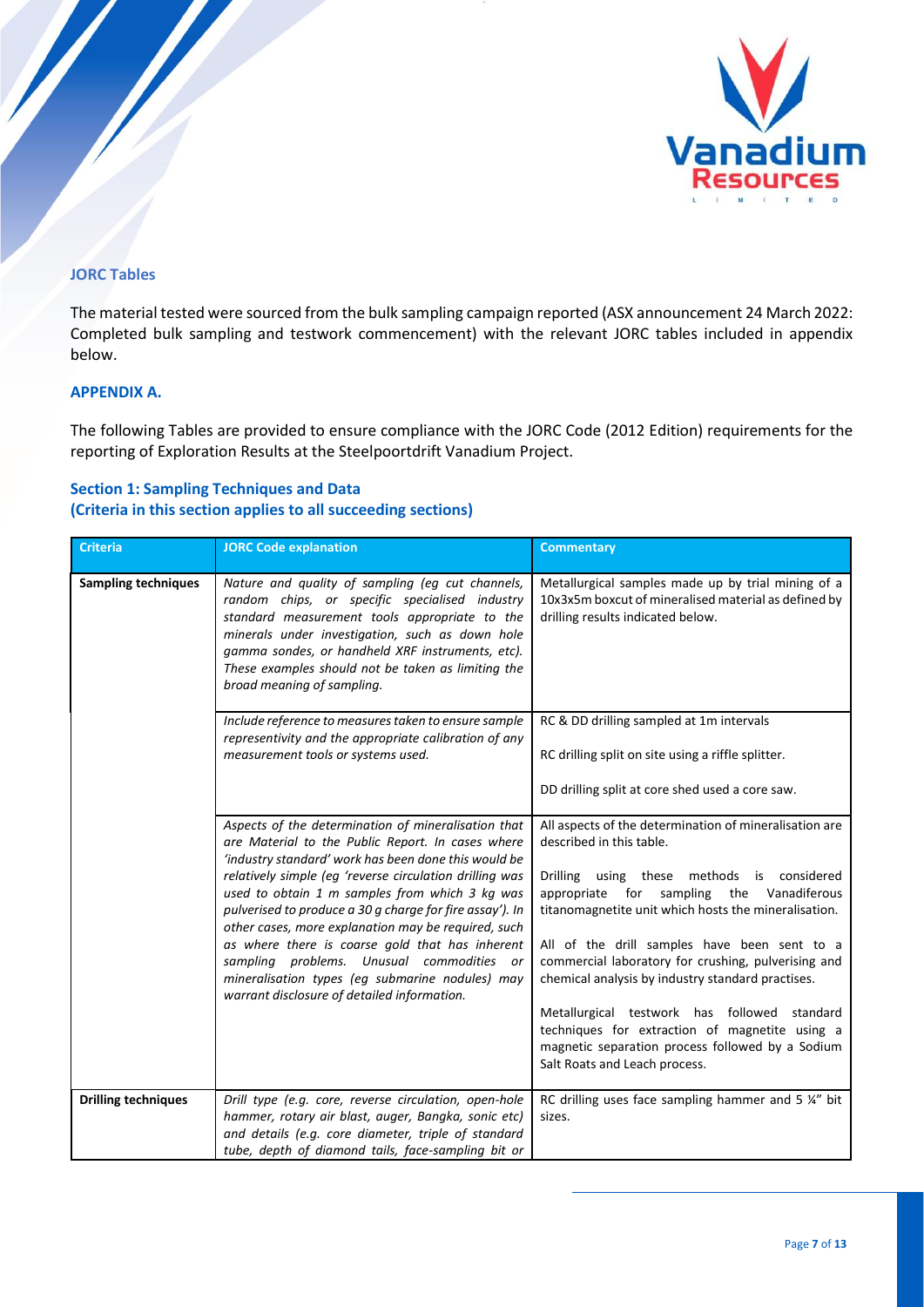

#### **JORC Tables**

The material tested were sourced from the bulk sampling campaign reported (ASX announcement 24 March 2022: Completed bulk sampling and testwork commencement) with the relevant JORC tables included in appendix below.

#### **APPENDIX A.**

The following Tables are provided to ensure compliance with the JORC Code (2012 Edition) requirements for the reporting of Exploration Results at the Steelpoortdrift Vanadium Project.

### **Section 1: Sampling Techniques and Data (Criteria in this section applies to all succeeding sections)**

| <b>Criteria</b>            | <b>JORC Code explanation</b>                                                                                                                                                                                                                                                                                                                   | <b>Commentary</b>                                                                                                                                                                   |
|----------------------------|------------------------------------------------------------------------------------------------------------------------------------------------------------------------------------------------------------------------------------------------------------------------------------------------------------------------------------------------|-------------------------------------------------------------------------------------------------------------------------------------------------------------------------------------|
| <b>Sampling techniques</b> | Nature and quality of sampling (eg cut channels,<br>random chips, or specific specialised industry<br>standard measurement tools appropriate to the<br>minerals under investigation, such as down hole<br>gamma sondes, or handheld XRF instruments, etc).<br>These examples should not be taken as limiting the<br>broad meaning of sampling. | Metallurgical samples made up by trial mining of a<br>10x3x5m boxcut of mineralised material as defined by<br>drilling results indicated below.                                     |
|                            | Include reference to measures taken to ensure sample<br>representivity and the appropriate calibration of any<br>measurement tools or systems used.                                                                                                                                                                                            | RC & DD drilling sampled at 1m intervals<br>RC drilling split on site using a riffle splitter.                                                                                      |
|                            |                                                                                                                                                                                                                                                                                                                                                | DD drilling split at core shed used a core saw.                                                                                                                                     |
|                            | Aspects of the determination of mineralisation that<br>are Material to the Public Report. In cases where<br>'industry standard' work has been done this would be                                                                                                                                                                               | All aspects of the determination of mineralisation are<br>described in this table.                                                                                                  |
|                            | relatively simple (eg 'reverse circulation drilling was<br>used to obtain 1 m samples from which 3 kg was<br>pulverised to produce a 30 g charge for fire assay'). In<br>other cases, more explanation may be required, such                                                                                                                   | Drilling using these methods is considered<br>appropriate for sampling the<br>Vanadiferous<br>titanomagnetite unit which hosts the mineralisation.                                  |
|                            | as where there is coarse gold that has inherent<br>sampling problems. Unusual commodities or<br>mineralisation types (eg submarine nodules) may<br>warrant disclosure of detailed information.                                                                                                                                                 | All of the drill samples have been sent to a<br>commercial laboratory for crushing, pulverising and<br>chemical analysis by industry standard practises.                            |
|                            |                                                                                                                                                                                                                                                                                                                                                | Metallurgical testwork has followed standard<br>techniques for extraction of magnetite using a<br>magnetic separation process followed by a Sodium<br>Salt Roats and Leach process. |
| <b>Drilling techniques</b> | Drill type (e.g. core, reverse circulation, open-hole<br>hammer, rotary air blast, auger, Bangka, sonic etc)<br>and details (e.g. core diameter, triple of standard<br>tube, depth of diamond tails, face-sampling bit or                                                                                                                      | RC drilling uses face sampling hammer and 5 %" bit<br>sizes.                                                                                                                        |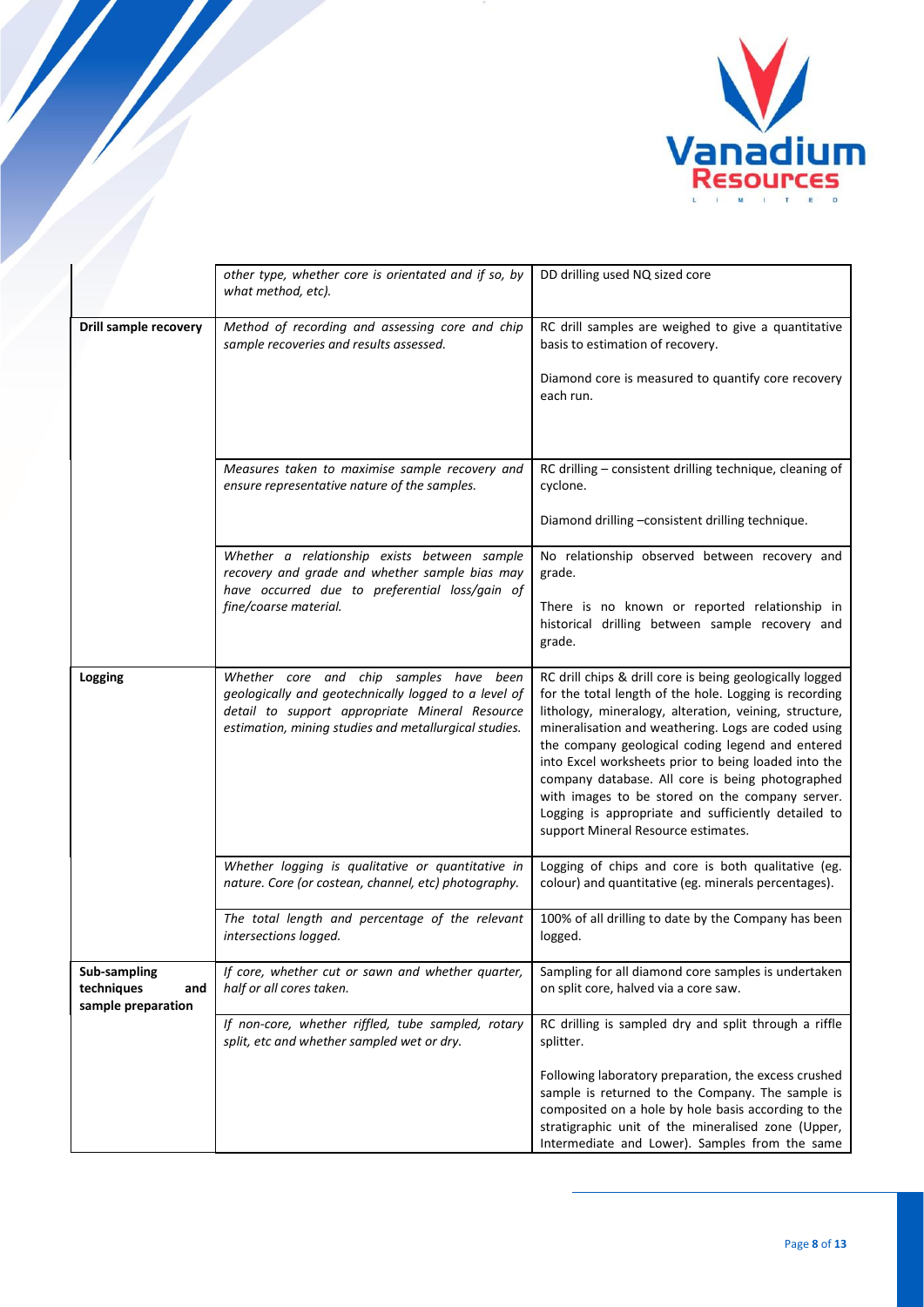

|                                                                                                                            | other type, whether core is orientated and if so, by<br>what method, etc).                                                                                                                                 | DD drilling used NQ sized core                                                                                                                                                                                                                                                                                                                                                                                                                                                                                                                       |
|----------------------------------------------------------------------------------------------------------------------------|------------------------------------------------------------------------------------------------------------------------------------------------------------------------------------------------------------|------------------------------------------------------------------------------------------------------------------------------------------------------------------------------------------------------------------------------------------------------------------------------------------------------------------------------------------------------------------------------------------------------------------------------------------------------------------------------------------------------------------------------------------------------|
| <b>Drill sample recovery</b><br>Method of recording and assessing core and chip<br>sample recoveries and results assessed. |                                                                                                                                                                                                            | RC drill samples are weighed to give a quantitative<br>basis to estimation of recovery.<br>Diamond core is measured to quantify core recovery<br>each run.                                                                                                                                                                                                                                                                                                                                                                                           |
|                                                                                                                            | Measures taken to maximise sample recovery and<br>ensure representative nature of the samples.                                                                                                             | RC drilling - consistent drilling technique, cleaning of<br>cyclone.<br>Diamond drilling - consistent drilling technique.                                                                                                                                                                                                                                                                                                                                                                                                                            |
|                                                                                                                            | Whether a relationship exists between sample<br>recovery and grade and whether sample bias may<br>have occurred due to preferential loss/gain of<br>fine/coarse material.                                  | No relationship observed between recovery and<br>grade.<br>There is no known or reported relationship in<br>historical drilling between sample recovery and<br>grade.                                                                                                                                                                                                                                                                                                                                                                                |
| Logging                                                                                                                    | Whether core and chip samples have been<br>geologically and geotechnically logged to a level of<br>detail to support appropriate Mineral Resource<br>estimation, mining studies and metallurgical studies. | RC drill chips & drill core is being geologically logged<br>for the total length of the hole. Logging is recording<br>lithology, mineralogy, alteration, veining, structure,<br>mineralisation and weathering. Logs are coded using<br>the company geological coding legend and entered<br>into Excel worksheets prior to being loaded into the<br>company database. All core is being photographed<br>with images to be stored on the company server.<br>Logging is appropriate and sufficiently detailed to<br>support Mineral Resource estimates. |
|                                                                                                                            | Whether logging is qualitative or quantitative in<br>nature. Core (or costean, channel, etc) photography.                                                                                                  | Logging of chips and core is both qualitative (eg.<br>colour) and quantitative (eg. minerals percentages).                                                                                                                                                                                                                                                                                                                                                                                                                                           |
|                                                                                                                            | The total length and percentage of the relevant<br>intersections logged.                                                                                                                                   | 100% of all drilling to date by the Company has been<br>logged.                                                                                                                                                                                                                                                                                                                                                                                                                                                                                      |
| Sub-sampling<br>techniques<br>and<br>sample preparation                                                                    | If core, whether cut or sawn and whether quarter,<br>half or all cores taken.                                                                                                                              | Sampling for all diamond core samples is undertaken<br>on split core, halved via a core saw.                                                                                                                                                                                                                                                                                                                                                                                                                                                         |
|                                                                                                                            | If non-core, whether riffled, tube sampled, rotary<br>split, etc and whether sampled wet or dry.                                                                                                           | RC drilling is sampled dry and split through a riffle<br>splitter.<br>Following laboratory preparation, the excess crushed<br>sample is returned to the Company. The sample is<br>composited on a hole by hole basis according to the<br>stratigraphic unit of the mineralised zone (Upper,                                                                                                                                                                                                                                                          |
|                                                                                                                            |                                                                                                                                                                                                            | Intermediate and Lower). Samples from the same                                                                                                                                                                                                                                                                                                                                                                                                                                                                                                       |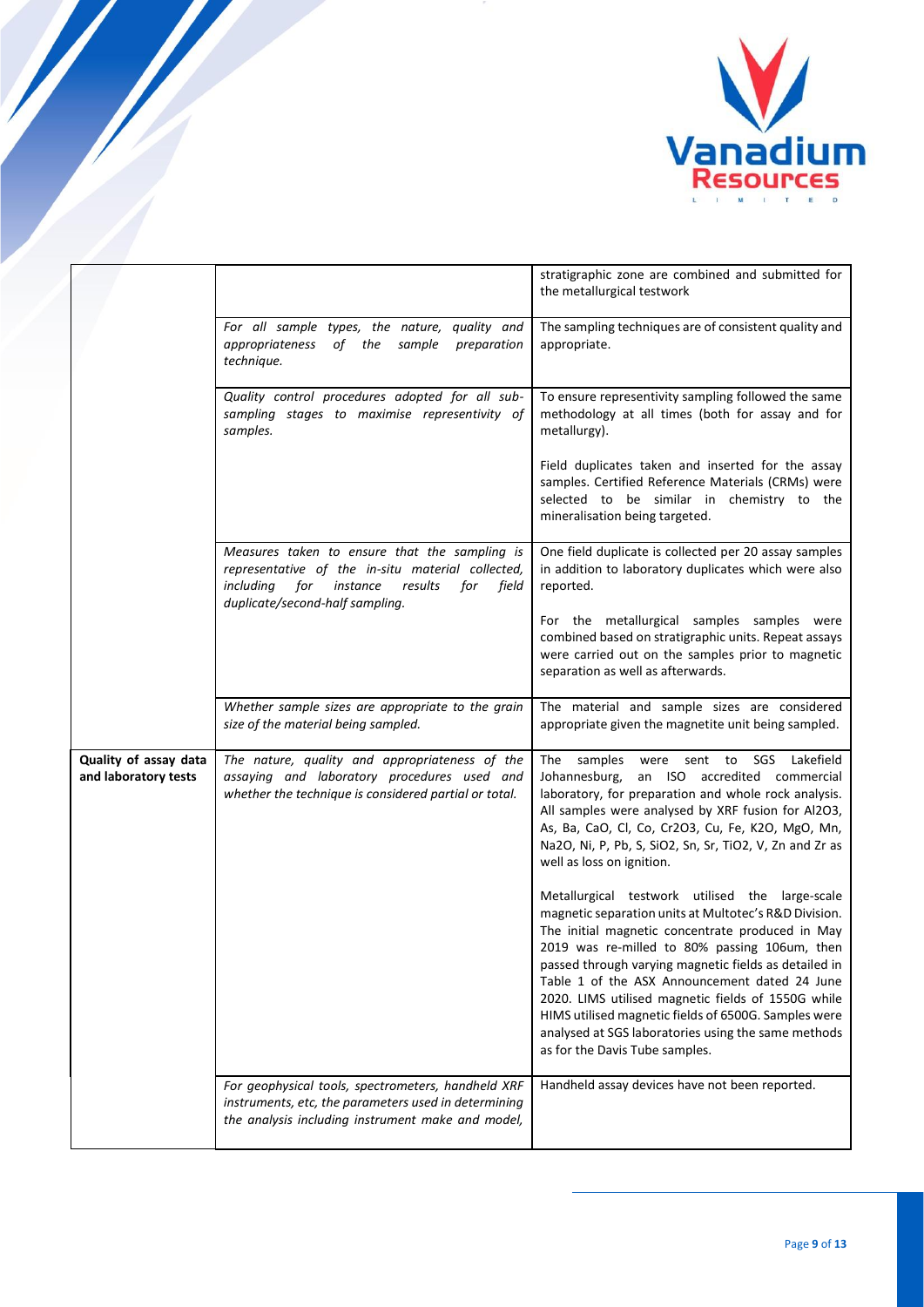

|                                               |                                                                                                                                                                                                  | stratigraphic zone are combined and submitted for<br>the metallurgical testwork                                                                                                                                                                                                                                                                                                                                                                                                                                                |
|-----------------------------------------------|--------------------------------------------------------------------------------------------------------------------------------------------------------------------------------------------------|--------------------------------------------------------------------------------------------------------------------------------------------------------------------------------------------------------------------------------------------------------------------------------------------------------------------------------------------------------------------------------------------------------------------------------------------------------------------------------------------------------------------------------|
|                                               | For all sample types, the nature, quality and<br>of the<br>appropriateness<br>sample<br>preparation<br>technique.                                                                                | The sampling techniques are of consistent quality and<br>appropriate.                                                                                                                                                                                                                                                                                                                                                                                                                                                          |
|                                               | Quality control procedures adopted for all sub-<br>sampling stages to maximise representivity of<br>samples.                                                                                     | To ensure representivity sampling followed the same<br>methodology at all times (both for assay and for<br>metallurgy).                                                                                                                                                                                                                                                                                                                                                                                                        |
|                                               |                                                                                                                                                                                                  | Field duplicates taken and inserted for the assay<br>samples. Certified Reference Materials (CRMs) were<br>selected to be similar in chemistry to the<br>mineralisation being targeted.                                                                                                                                                                                                                                                                                                                                        |
|                                               | Measures taken to ensure that the sampling is<br>representative of the in-situ material collected,<br>including<br>for<br>instance<br>results<br>for<br>field<br>duplicate/second-half sampling. | One field duplicate is collected per 20 assay samples<br>in addition to laboratory duplicates which were also<br>reported.                                                                                                                                                                                                                                                                                                                                                                                                     |
|                                               |                                                                                                                                                                                                  | For the metallurgical samples samples were<br>combined based on stratigraphic units. Repeat assays<br>were carried out on the samples prior to magnetic<br>separation as well as afterwards.                                                                                                                                                                                                                                                                                                                                   |
|                                               | Whether sample sizes are appropriate to the grain<br>size of the material being sampled.                                                                                                         | The material and sample sizes are considered<br>appropriate given the magnetite unit being sampled.                                                                                                                                                                                                                                                                                                                                                                                                                            |
| Quality of assay data<br>and laboratory tests | The nature, quality and appropriateness of the<br>assaying and laboratory procedures used and<br>whether the technique is considered partial or total.                                           | The samples<br>were sent to SGS<br>Lakefield<br>an ISO accredited commercial<br>Johannesburg,<br>laboratory, for preparation and whole rock analysis.<br>All samples were analysed by XRF fusion for Al2O3,<br>As, Ba, CaO, Cl, Co, Cr2O3, Cu, Fe, K2O, MgO, Mn,<br>Na2O, Ni, P, Pb, S, SiO2, Sn, Sr, TiO2, V, Zn and Zr as<br>well as loss on ignition.                                                                                                                                                                       |
|                                               |                                                                                                                                                                                                  | Metallurgical testwork utilised the large-scale<br>magnetic separation units at Multotec's R&D Division.<br>The initial magnetic concentrate produced in May<br>2019 was re-milled to 80% passing 106um, then<br>passed through varying magnetic fields as detailed in<br>Table 1 of the ASX Announcement dated 24 June<br>2020. LIMS utilised magnetic fields of 1550G while<br>HIMS utilised magnetic fields of 6500G. Samples were<br>analysed at SGS laboratories using the same methods<br>as for the Davis Tube samples. |
|                                               | For geophysical tools, spectrometers, handheld XRF<br>instruments, etc, the parameters used in determining<br>the analysis including instrument make and model,                                  | Handheld assay devices have not been reported.                                                                                                                                                                                                                                                                                                                                                                                                                                                                                 |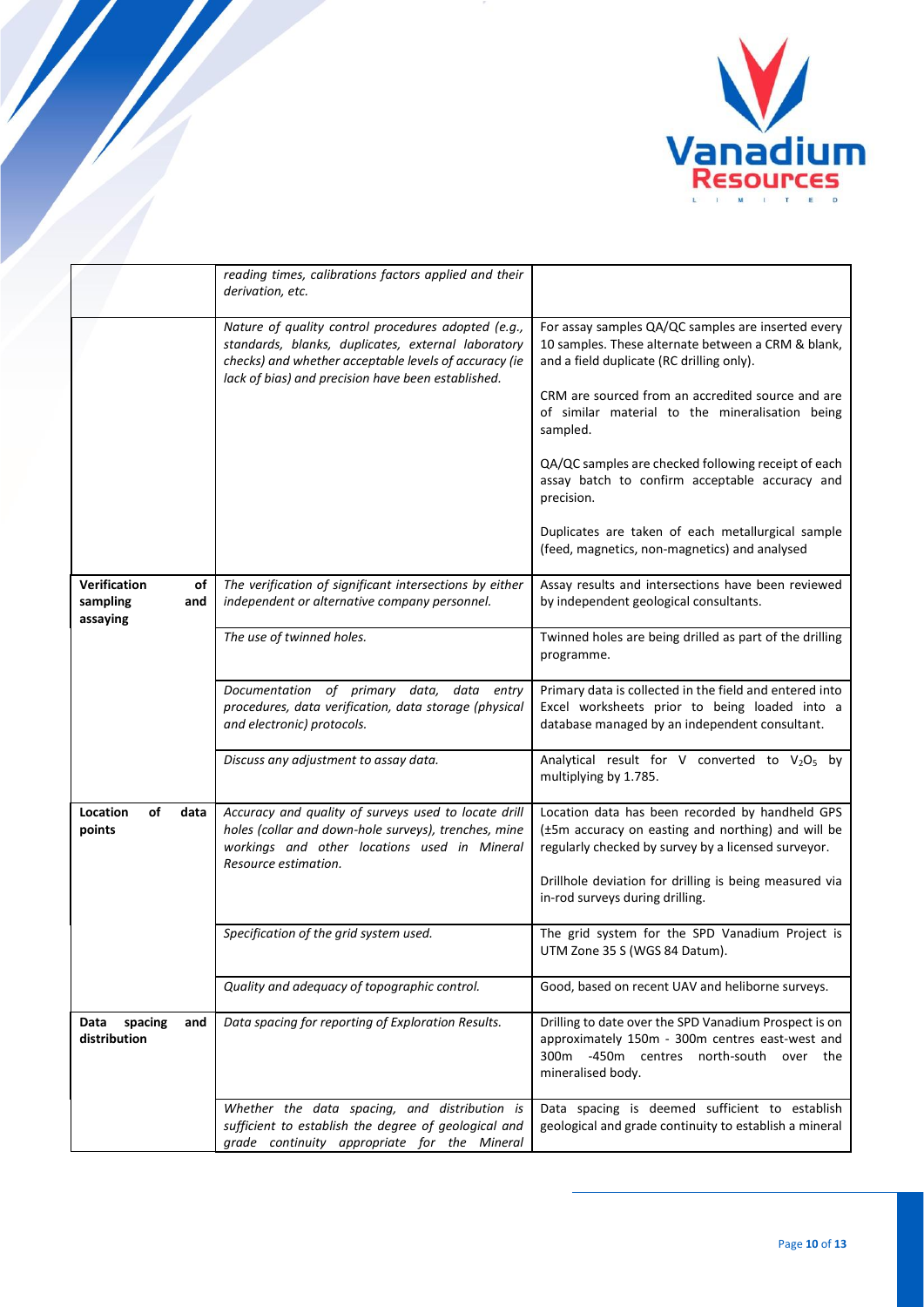

|                                                   | reading times, calibrations factors applied and their<br>derivation, etc.                                                                                                                                                |                                                                                                                                                                          |
|---------------------------------------------------|--------------------------------------------------------------------------------------------------------------------------------------------------------------------------------------------------------------------------|--------------------------------------------------------------------------------------------------------------------------------------------------------------------------|
|                                                   | Nature of quality control procedures adopted (e.g.,<br>standards, blanks, duplicates, external laboratory<br>checks) and whether acceptable levels of accuracy (ie<br>lack of bias) and precision have been established. | For assay samples QA/QC samples are inserted every<br>10 samples. These alternate between a CRM & blank,<br>and a field duplicate (RC drilling only).                    |
|                                                   |                                                                                                                                                                                                                          | CRM are sourced from an accredited source and are<br>of similar material to the mineralisation being<br>sampled.                                                         |
|                                                   |                                                                                                                                                                                                                          | QA/QC samples are checked following receipt of each<br>assay batch to confirm acceptable accuracy and<br>precision.                                                      |
|                                                   |                                                                                                                                                                                                                          | Duplicates are taken of each metallurgical sample<br>(feed, magnetics, non-magnetics) and analysed                                                                       |
| Verification<br>of<br>sampling<br>and<br>assaying | The verification of significant intersections by either<br>independent or alternative company personnel.                                                                                                                 | Assay results and intersections have been reviewed<br>by independent geological consultants.                                                                             |
|                                                   | The use of twinned holes.                                                                                                                                                                                                | Twinned holes are being drilled as part of the drilling<br>programme.                                                                                                    |
|                                                   | Documentation of primary data, data entry<br>procedures, data verification, data storage (physical<br>and electronic) protocols.                                                                                         | Primary data is collected in the field and entered into<br>Excel worksheets prior to being loaded into a<br>database managed by an independent consultant.               |
|                                                   | Discuss any adjustment to assay data.                                                                                                                                                                                    | Analytical result for V converted to V <sub>2</sub> O <sub>5</sub> by<br>multiplying by 1.785.                                                                           |
| Location<br>of<br>data<br>points                  | Accuracy and quality of surveys used to locate drill<br>holes (collar and down-hole surveys), trenches, mine<br>workings and other locations used in Mineral<br>Resource estimation.                                     | Location data has been recorded by handheld GPS<br>(±5m accuracy on easting and northing) and will be<br>regularly checked by survey by a licensed surveyor.             |
|                                                   |                                                                                                                                                                                                                          | Drillhole deviation for drilling is being measured via<br>in-rod surveys during drilling.                                                                                |
|                                                   | Specification of the grid system used.                                                                                                                                                                                   | The grid system for the SPD Vanadium Project is<br>UTM Zone 35 S (WGS 84 Datum).                                                                                         |
|                                                   | Quality and adequacy of topographic control.                                                                                                                                                                             | Good, based on recent UAV and heliborne surveys.                                                                                                                         |
| Data<br>spacing<br>and<br>distribution            | Data spacing for reporting of Exploration Results.                                                                                                                                                                       | Drilling to date over the SPD Vanadium Prospect is on<br>approximately 150m - 300m centres east-west and<br>300m -450m centres north-south over the<br>mineralised body. |
|                                                   | Whether the data spacing, and distribution is<br>sufficient to establish the degree of geological and<br>grade continuity appropriate for the Mineral                                                                    | Data spacing is deemed sufficient to establish<br>geological and grade continuity to establish a mineral                                                                 |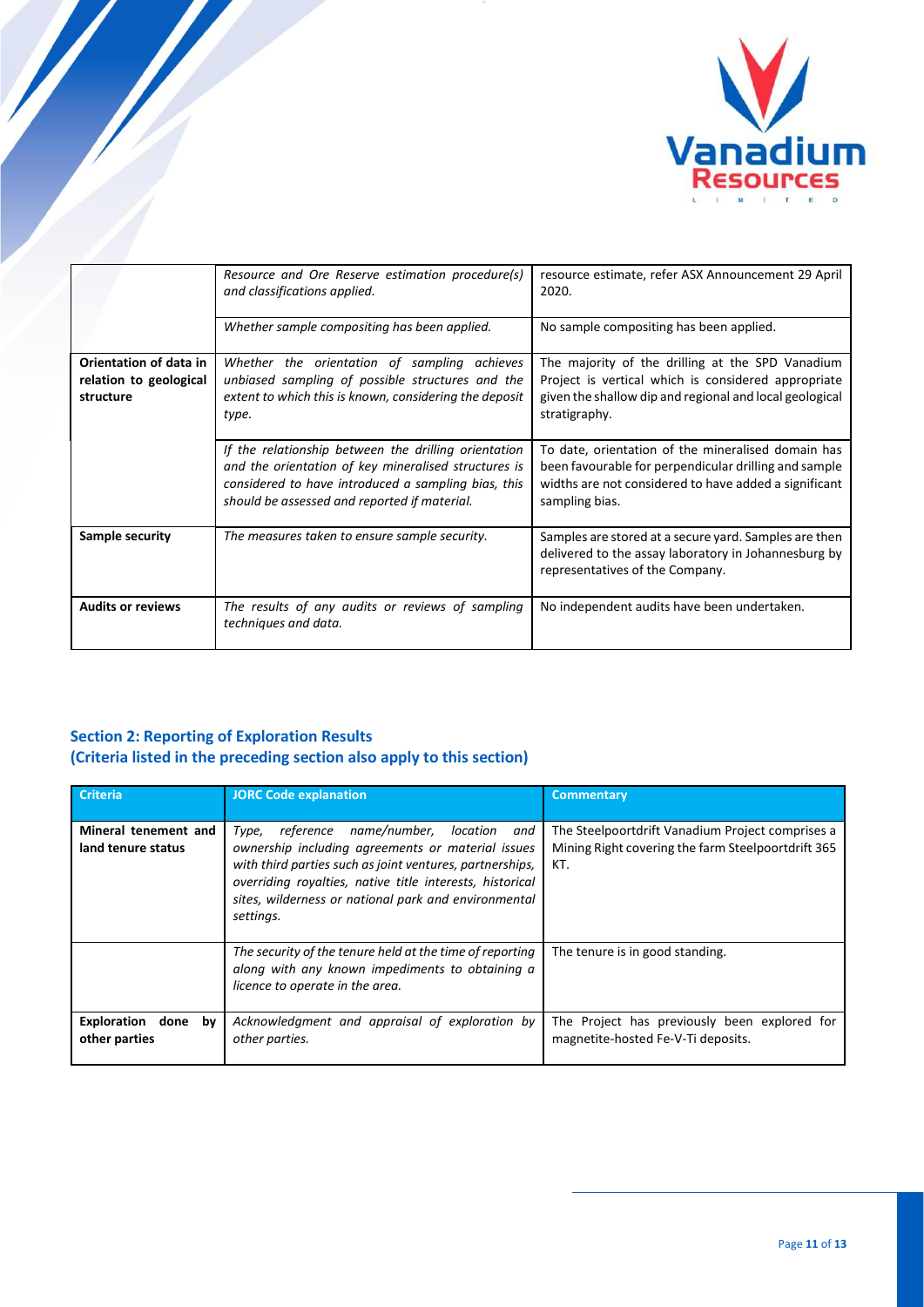

|                                     | Resource and Ore Reserve estimation procedure(s)<br>and classifications applied.                                                                                                                                    | resource estimate, refer ASX Announcement 29 April<br>2020.                                                                                                                            |
|-------------------------------------|---------------------------------------------------------------------------------------------------------------------------------------------------------------------------------------------------------------------|----------------------------------------------------------------------------------------------------------------------------------------------------------------------------------------|
|                                     | Whether sample compositing has been applied.                                                                                                                                                                        | No sample compositing has been applied.                                                                                                                                                |
| Orientation of data in              | Whether the orientation of sampling achieves                                                                                                                                                                        | The majority of the drilling at the SPD Vanadium                                                                                                                                       |
| relation to geological<br>structure | unbiased sampling of possible structures and the<br>extent to which this is known, considering the deposit<br>type.                                                                                                 | Project is vertical which is considered appropriate<br>given the shallow dip and regional and local geological<br>stratigraphy.                                                        |
|                                     | If the relationship between the drilling orientation<br>and the orientation of key mineralised structures is<br>considered to have introduced a sampling bias, this<br>should be assessed and reported if material. | To date, orientation of the mineralised domain has<br>been favourable for perpendicular drilling and sample<br>widths are not considered to have added a significant<br>sampling bias. |
| Sample security                     | The measures taken to ensure sample security.                                                                                                                                                                       | Samples are stored at a secure yard. Samples are then<br>delivered to the assay laboratory in Johannesburg by<br>representatives of the Company.                                       |
| <b>Audits or reviews</b>            | The results of any audits or reviews of sampling<br>techniques and data.                                                                                                                                            | No independent audits have been undertaken.                                                                                                                                            |

## **Section 2: Reporting of Exploration Results (Criteria listed in the preceding section also apply to this section)**

| <b>Criteria</b>                            | <b>JORC Code explanation</b>                                                                                                                                                                                                                                                                   | <b>Commentary</b>                                                                                             |
|--------------------------------------------|------------------------------------------------------------------------------------------------------------------------------------------------------------------------------------------------------------------------------------------------------------------------------------------------|---------------------------------------------------------------------------------------------------------------|
| Mineral tenement and<br>land tenure status | reference name/number, location and<br>Type,<br>ownership including agreements or material issues<br>with third parties such as joint ventures, partnerships,<br>overriding royalties, native title interests, historical<br>sites, wilderness or national park and environmental<br>settings. | The Steelpoortdrift Vanadium Project comprises a<br>Mining Right covering the farm Steelpoortdrift 365<br>KT. |
|                                            | The security of the tenure held at the time of reporting<br>along with any known impediments to obtaining a<br>licence to operate in the area.                                                                                                                                                 | The tenure is in good standing.                                                                               |
| Exploration<br>done<br>bv<br>other parties | Acknowledgment and appraisal of exploration by<br>other parties.                                                                                                                                                                                                                               | The Project has previously been explored for<br>magnetite-hosted Fe-V-Ti deposits.                            |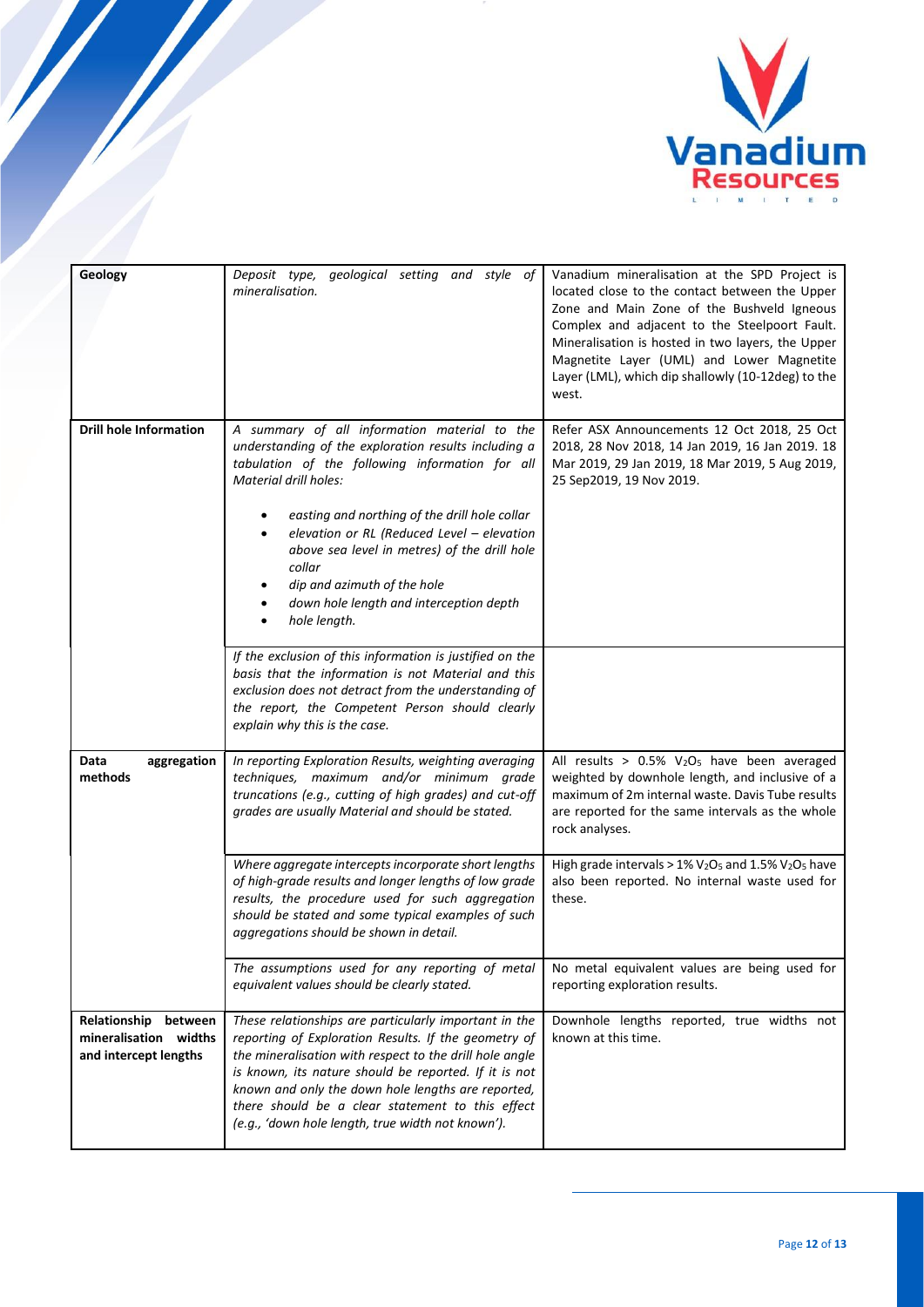

| Geology                                                                | Deposit type, geological setting and style of<br>mineralisation.                                                                                                                                                                                                                                                                                                                                                                    | Vanadium mineralisation at the SPD Project is<br>located close to the contact between the Upper<br>Zone and Main Zone of the Bushveld Igneous<br>Complex and adjacent to the Steelpoort Fault.<br>Mineralisation is hosted in two layers, the Upper<br>Magnetite Layer (UML) and Lower Magnetite<br>Layer (LML), which dip shallowly (10-12deg) to the<br>west. |
|------------------------------------------------------------------------|-------------------------------------------------------------------------------------------------------------------------------------------------------------------------------------------------------------------------------------------------------------------------------------------------------------------------------------------------------------------------------------------------------------------------------------|-----------------------------------------------------------------------------------------------------------------------------------------------------------------------------------------------------------------------------------------------------------------------------------------------------------------------------------------------------------------|
| <b>Drill hole Information</b>                                          | A summary of all information material to the<br>understanding of the exploration results including a<br>tabulation of the following information for all<br>Material drill holes:<br>easting and northing of the drill hole collar<br>elevation or RL (Reduced Level - elevation<br>above sea level in metres) of the drill hole<br>collar<br>dip and azimuth of the hole<br>down hole length and interception depth<br>hole length. | Refer ASX Announcements 12 Oct 2018, 25 Oct<br>2018, 28 Nov 2018, 14 Jan 2019, 16 Jan 2019. 18<br>Mar 2019, 29 Jan 2019, 18 Mar 2019, 5 Aug 2019,<br>25 Sep2019, 19 Nov 2019.                                                                                                                                                                                   |
|                                                                        | If the exclusion of this information is justified on the<br>basis that the information is not Material and this<br>exclusion does not detract from the understanding of<br>the report, the Competent Person should clearly                                                                                                                                                                                                          |                                                                                                                                                                                                                                                                                                                                                                 |
|                                                                        | explain why this is the case.                                                                                                                                                                                                                                                                                                                                                                                                       |                                                                                                                                                                                                                                                                                                                                                                 |
| Data<br>aggregation<br>methods                                         | In reporting Exploration Results, weighting averaging<br>techniques, maximum and/or minimum grade<br>truncations (e.g., cutting of high grades) and cut-off<br>grades are usually Material and should be stated.                                                                                                                                                                                                                    | All results > $0.5\%$ V <sub>2</sub> O <sub>5</sub> have been averaged<br>weighted by downhole length, and inclusive of a<br>maximum of 2m internal waste. Davis Tube results<br>are reported for the same intervals as the whole<br>rock analyses.                                                                                                             |
|                                                                        | Where aggregate intercepts incorporate short lengths<br>of high-grade results and longer lengths of low grade<br>results, the procedure used for such aggregation<br>should be stated and some typical examples of such<br>aggregations should be shown in detail.                                                                                                                                                                  | High grade intervals > $1\%$ V <sub>2</sub> O <sub>5</sub> and $1.5\%$ V <sub>2</sub> O <sub>5</sub> have<br>also been reported. No internal waste used for<br>these.                                                                                                                                                                                           |
|                                                                        | The assumptions used for any reporting of metal<br>equivalent values should be clearly stated.                                                                                                                                                                                                                                                                                                                                      | No metal equivalent values are being used for<br>reporting exploration results.                                                                                                                                                                                                                                                                                 |
| Relationship between<br>mineralisation widths<br>and intercept lengths | These relationships are particularly important in the<br>reporting of Exploration Results. If the geometry of<br>the mineralisation with respect to the drill hole angle<br>is known, its nature should be reported. If it is not<br>known and only the down hole lengths are reported,<br>there should be a clear statement to this effect<br>(e.g., 'down hole length, true width not known').                                    | Downhole lengths reported, true widths not<br>known at this time.                                                                                                                                                                                                                                                                                               |